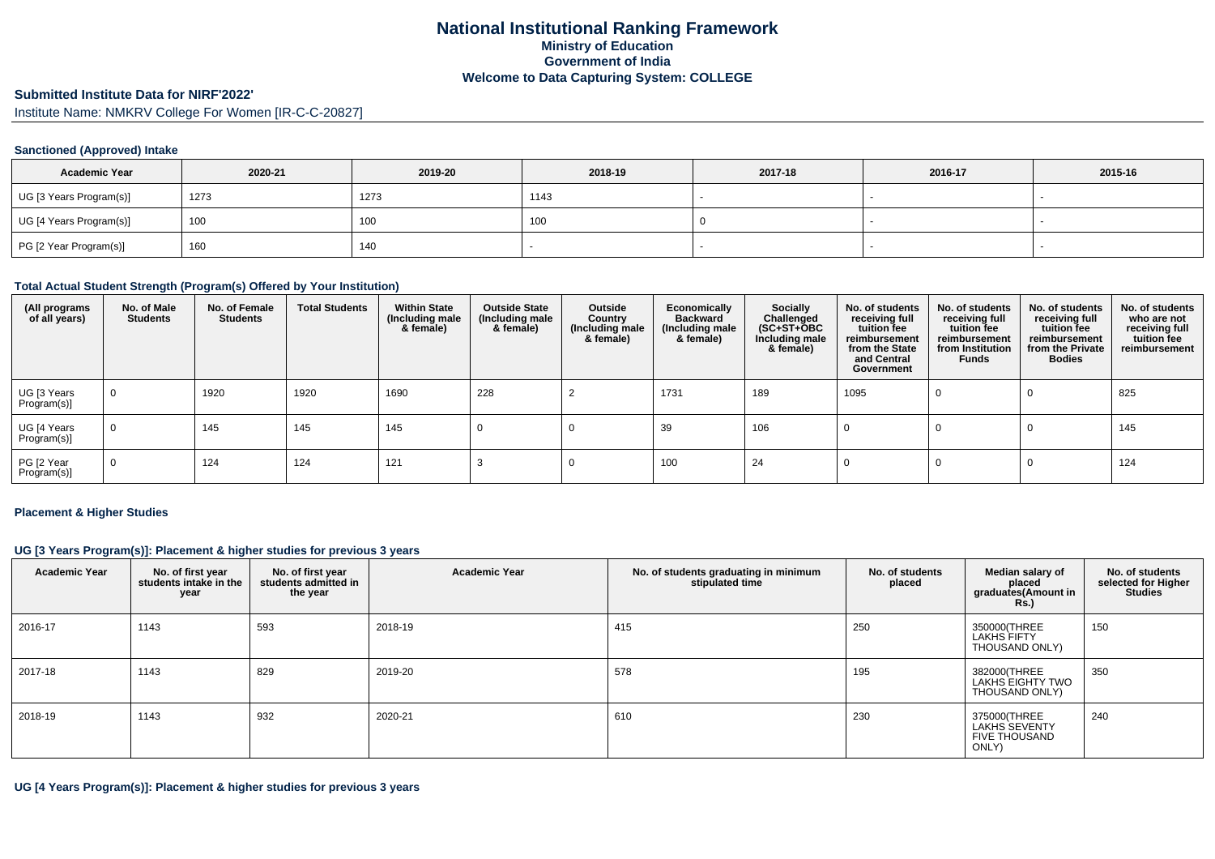# **Submitted Institute Data for NIRF'2022'**

Institute Name: NMKRV College For Women [IR-C-C-20827]

### **Sanctioned (Approved) Intake**

| <b>Academic Year</b>    | 2020-21 | 2019-20 | 2018-19 | 2017-18 | 2016-17 | 2015-16 |
|-------------------------|---------|---------|---------|---------|---------|---------|
| UG [3 Years Program(s)] | 1273    | 1273    | 1143    |         |         |         |
| UG [4 Years Program(s)] | 100     | 100     | 1 O.U   |         |         |         |
| PG [2 Year Program(s)]  | 160     | 140     |         |         |         |         |

### **Total Actual Student Strength (Program(s) Offered by Your Institution)**

| (All programs<br>of all years) | No. of Male<br><b>Students</b> | No. of Female<br><b>Students</b> | <b>Total Students</b> | <b>Within State</b><br>(Including male<br>& female) | <b>Outside State</b><br>(Including male<br>& female) | Outside<br>Country<br>(Including male<br>& female) | Economically<br><b>Backward</b><br>(Including male<br>& female) | <b>Socially</b><br>Challenged<br>$(SC+ST+\textcolor{blue}{\bullet}BC$<br>Including male<br>& female) | No. of students<br>receiving full<br>tuition fee<br>reimbursement<br>from the State<br>and Central<br>Government | No. of students<br>receiving full<br>tuition fee<br>reimbursement<br>from Institution<br><b>Funds</b> | No. of students<br>receiving full<br>tuition fee<br>reimbursement<br>from the Private<br><b>Bodies</b> | No. of students<br>who are not<br>receiving full<br>tuition fee<br>reimbursement |
|--------------------------------|--------------------------------|----------------------------------|-----------------------|-----------------------------------------------------|------------------------------------------------------|----------------------------------------------------|-----------------------------------------------------------------|------------------------------------------------------------------------------------------------------|------------------------------------------------------------------------------------------------------------------|-------------------------------------------------------------------------------------------------------|--------------------------------------------------------------------------------------------------------|----------------------------------------------------------------------------------|
| UG [3 Years<br>Program(s)]     | 0                              | 1920                             | 1920                  | 1690                                                | 228                                                  |                                                    | 1731                                                            | 189                                                                                                  | 1095                                                                                                             |                                                                                                       |                                                                                                        | 825                                                                              |
| UG [4 Years<br>$Program(s)$ ]  | $\mathbf 0$                    | 145                              | 145                   | 145                                                 |                                                      |                                                    | 39                                                              | 106                                                                                                  |                                                                                                                  |                                                                                                       | - U                                                                                                    | 145                                                                              |
| PG [2 Year<br>Program(s)]      | 0                              | 124                              | 124                   | 121                                                 |                                                      |                                                    | 100                                                             | 24                                                                                                   |                                                                                                                  |                                                                                                       |                                                                                                        | 124                                                                              |

#### **Placement & Higher Studies**

### **UG [3 Years Program(s)]: Placement & higher studies for previous 3 years**

| <b>Academic Year</b> | No. of first year<br>students intake in the<br>year | No. of first year<br>students admitted in<br>the year | <b>Academic Year</b> | No. of students graduating in minimum<br>stipulated time | No. of students<br>placed | Median salary of<br>placed<br>graduates(Amount in<br><b>Rs.)</b>      | No. of students<br>selected for Higher<br><b>Studies</b> |
|----------------------|-----------------------------------------------------|-------------------------------------------------------|----------------------|----------------------------------------------------------|---------------------------|-----------------------------------------------------------------------|----------------------------------------------------------|
| 2016-17              | 1143                                                | 593                                                   | 2018-19              | 415                                                      | 250                       | 350000(THREE<br>LAKHS FIFTY<br>THOUSAND ONLY)                         | 150                                                      |
| 2017-18              | 1143                                                | 829                                                   | 2019-20              | 578                                                      | 195                       | 382000(THREE<br>LAKHS EIGHTY TWO<br>THOUSAND ONLY)                    | 350                                                      |
| 2018-19              | 1143                                                | 932                                                   | 2020-21              | 610                                                      | 230                       | 375000(THREE<br><b>LAKHS SEVENTY</b><br><b>FIVE THOUSAND</b><br>ONLY) | 240                                                      |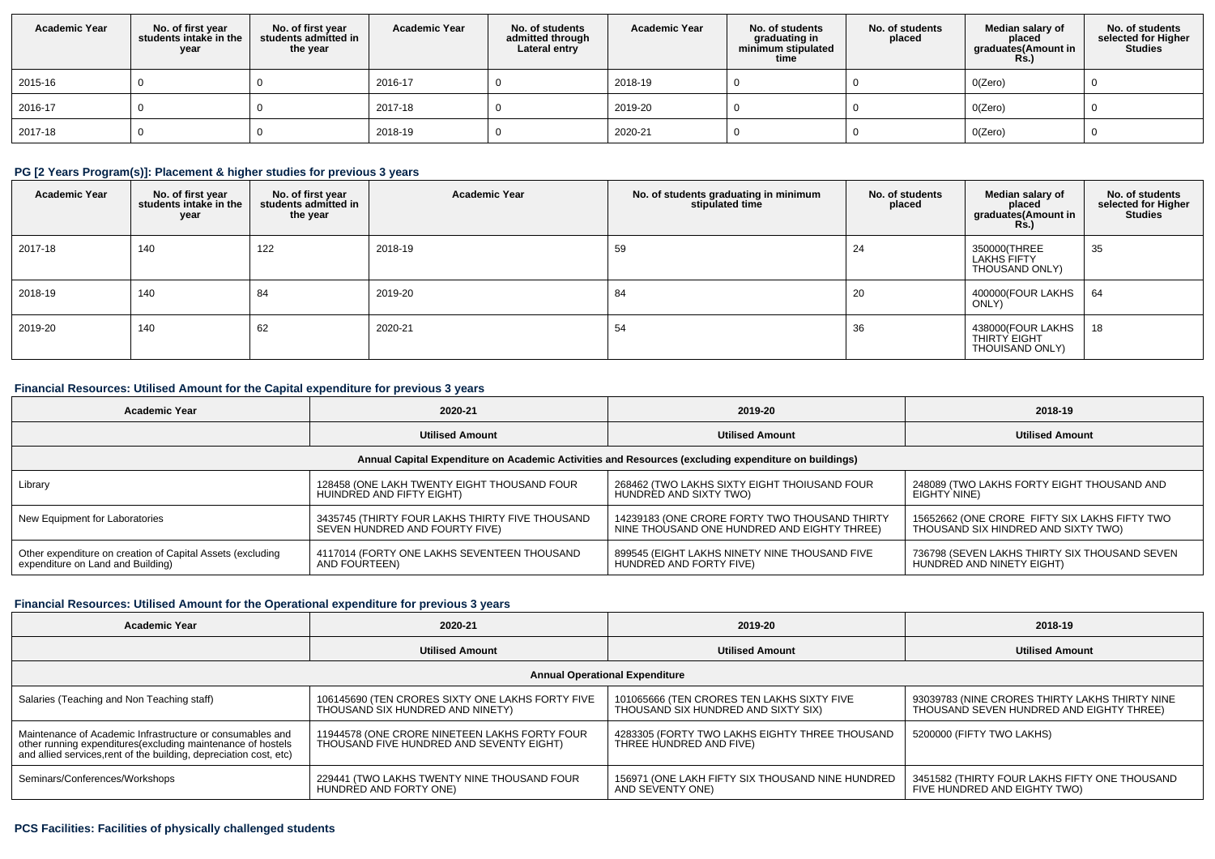| <b>Academic Year</b> | No. of first year<br>students intake in the<br>year | No. of first vear<br>students admitted in<br>the year | <b>Academic Year</b> | No. of students<br>admitted through<br>Lateral entry | <b>Academic Year</b> | No. of students<br>graduating in<br>minimum stipulated<br>time | No. of students<br>placed | Median salary of<br>placed<br>graduates(Amount in<br>Rs.) | No. of students<br>selected for Higher<br><b>Studies</b> |
|----------------------|-----------------------------------------------------|-------------------------------------------------------|----------------------|------------------------------------------------------|----------------------|----------------------------------------------------------------|---------------------------|-----------------------------------------------------------|----------------------------------------------------------|
| 2015-16              |                                                     |                                                       | 2016-17              |                                                      | 2018-19              |                                                                |                           | O(Zero)                                                   |                                                          |
| 2016-17              |                                                     |                                                       | 2017-18              |                                                      | 2019-20              |                                                                |                           | O(Zero)                                                   |                                                          |
| 2017-18              |                                                     |                                                       | 2018-19              |                                                      | 2020-21              |                                                                |                           | O(Zero)                                                   |                                                          |

## **PG [2 Years Program(s)]: Placement & higher studies for previous 3 years**

| <b>Academic Year</b> | No. of first year<br>students intake in the<br>year | No. of first year<br>students admitted in<br>the year | <b>Academic Year</b> | No. of students graduating in minimum<br>stipulated time | No. of students<br>placed | Median salary of<br>placed<br>graduates(Amount in<br><b>Rs.)</b> | No. of students<br>selected for Higher<br><b>Studies</b> |
|----------------------|-----------------------------------------------------|-------------------------------------------------------|----------------------|----------------------------------------------------------|---------------------------|------------------------------------------------------------------|----------------------------------------------------------|
| 2017-18              | 140                                                 | 122                                                   | 2018-19              | 59                                                       | 24                        | 350000(THREE<br>LAKHS FIFTY<br>THOUSAND ONLY)                    | 35                                                       |
| 2018-19              | 140                                                 | 84                                                    | 2019-20              | 84                                                       | 20                        | 400000(FOUR LAKHS<br>ONLY)                                       | 64                                                       |
| 2019-20              | 140                                                 | 62                                                    | 2020-21              | 54                                                       | 36                        | 438000(FOUR LAKHS<br>THIRTY EIGHT<br>THOUISAND ONLY)             | 18                                                       |

## **Financial Resources: Utilised Amount for the Capital expenditure for previous 3 years**

| <b>Academic Year</b>                                       | 2020-21                                         |                                                                                                      | 2018-19                                       |
|------------------------------------------------------------|-------------------------------------------------|------------------------------------------------------------------------------------------------------|-----------------------------------------------|
|                                                            | <b>Utilised Amount</b>                          | <b>Utilised Amount</b>                                                                               | <b>Utilised Amount</b>                        |
|                                                            |                                                 | Annual Capital Expenditure on Academic Activities and Resources (excluding expenditure on buildings) |                                               |
| Library                                                    | 128458 (ONE LAKH TWENTY EIGHT THOUSAND FOUR     | 268462 (TWO LAKHS SIXTY EIGHT THOIUSAND FOUR                                                         | 248089 (TWO LAKHS FORTY EIGHT THOUSAND AND    |
|                                                            | HUINDRED AND FIFTY EIGHT)                       | HUNDRÉD AND SIXTY TWO)                                                                               | EIGHTY NINE)                                  |
| New Equipment for Laboratories                             | 3435745 (THIRTY FOUR LAKHS THIRTY FIVE THOUSAND | 14239183 (ONE CRORE FORTY TWO THOUSAND THIRTY                                                        | 15652662 (ONE CRORE FIFTY SIX LAKHS FIFTY TWO |
|                                                            | SEVEN HUNDRED AND FOURTY FIVE)                  | NINE THOUSAND ONE HUNDRED AND EIGHTY THREE)                                                          | THOUSAND SIX HINDRED AND SIXTY TWO)           |
| Other expenditure on creation of Capital Assets (excluding | 4117014 (FORTY ONE LAKHS SEVENTEEN THOUSAND     | 899545 (EIGHT LAKHS NINETY NINE THOUSAND FIVE                                                        | 736798 (SEVEN LAKHS THIRTY SIX THOUSAND SEVEN |
| expenditure on Land and Building)                          | AND FOURTEEN)                                   | HUNDRÈD AND FORTY FIVE)                                                                              | HUNDRED AND NINETY EIGHT)                     |

## **Financial Resources: Utilised Amount for the Operational expenditure for previous 3 years**

| Academic Year                                                                                                                                                                                  | 2020-21                                                                                   | 2019-20                                                                           | 2018-19                                                                                    |  |
|------------------------------------------------------------------------------------------------------------------------------------------------------------------------------------------------|-------------------------------------------------------------------------------------------|-----------------------------------------------------------------------------------|--------------------------------------------------------------------------------------------|--|
|                                                                                                                                                                                                | <b>Utilised Amount</b>                                                                    | <b>Utilised Amount</b>                                                            | <b>Utilised Amount</b>                                                                     |  |
|                                                                                                                                                                                                |                                                                                           | <b>Annual Operational Expenditure</b>                                             |                                                                                            |  |
| Salaries (Teaching and Non Teaching staff)                                                                                                                                                     | 106145690 (TEN CRORES SIXTY ONE LAKHS FORTY FIVE<br>THOUSAND SIX HUNDRED AND NINETY)      | 101065666 (TEN CRORES TEN LAKHS SIXTY FIVE<br>THOUSAND SIX HUNDRED AND SIXTY SIX) | 93039783 (NINE CRORES THIRTY LAKHS THIRTY NINE<br>THOUSAND SEVEN HUNDRED AND EIGHTY THREE) |  |
| Maintenance of Academic Infrastructure or consumables and<br>other running expenditures(excluding maintenance of hostels<br>and allied services, rent of the building, depreciation cost, etc) | 11944578 (ONE CRORE NINETEEN LAKHS FORTY FOUR<br>THOUSAND FIVE HUNDRED AND SEVENTY EIGHT) | 4283305 (FORTY TWO LAKHS EIGHTY THREE THOUSAND<br>THREE HUNDRED AND FIVE)         | 5200000 (FIFTY TWO LAKHS)                                                                  |  |
| Seminars/Conferences/Workshops                                                                                                                                                                 | 229441 (TWO LAKHS TWENTY NINE THOUSAND FOUR<br>HUNDRED AND FORTY ONE)                     | 156971 (ONE LAKH FIFTY SIX THOUSAND NINE HUNDRED<br>AND SEVENTY ONE)              | 3451582 (THIRTY FOUR LAKHS FIFTY ONE THOUSAND<br>FIVE HUNDRED AND EIGHTY TWO)              |  |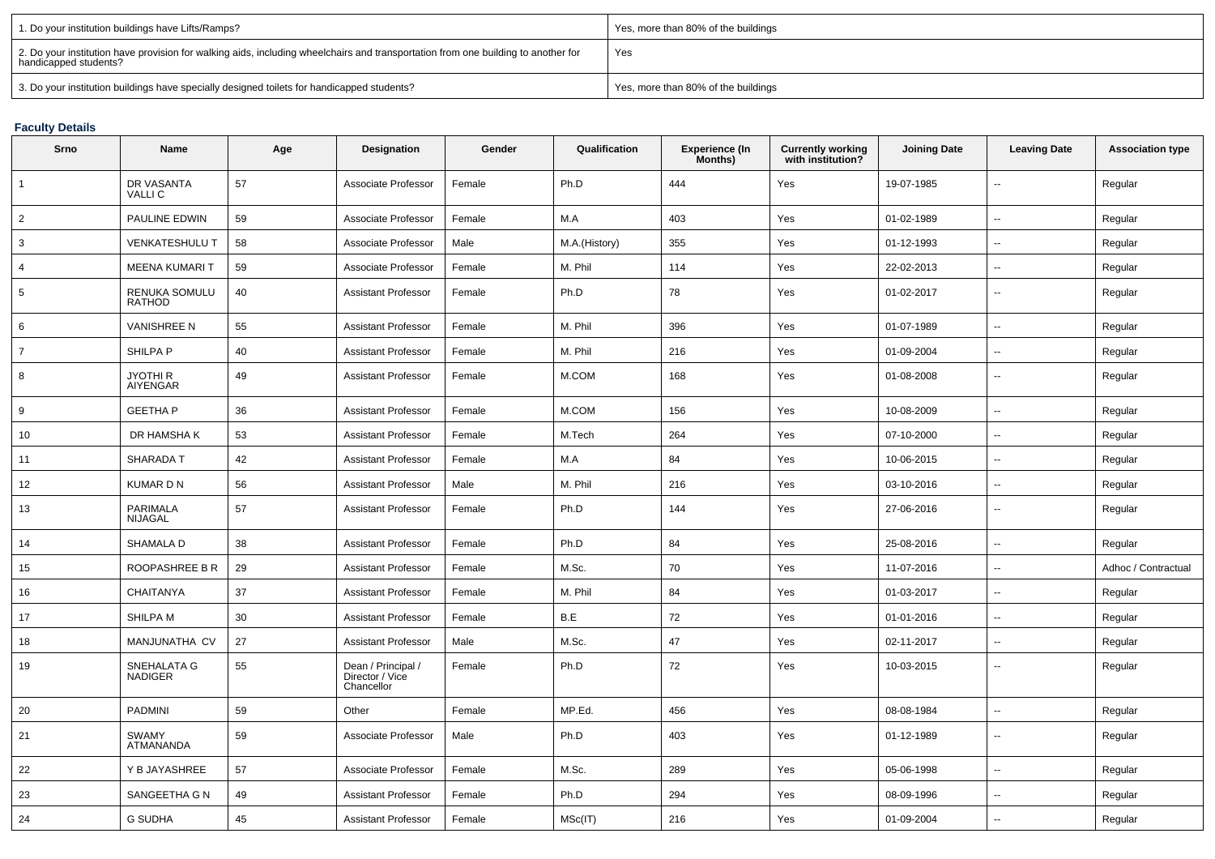| 1. Do your institution buildings have Lifts/Ramps?                                                                                                         | Yes, more than 80% of the buildings |
|------------------------------------------------------------------------------------------------------------------------------------------------------------|-------------------------------------|
| 2. Do your institution have provision for walking aids, including wheelchairs and transportation from one building to another for<br>handicapped students? | Yes                                 |
| 3. Do your institution buildings have specially designed toilets for handicapped students?                                                                 | Yes, more than 80% of the buildings |

# **Faculty Details**

| Srno           | Name                                 | Age | Designation                                         | Gender | Qualification | Experience (In<br>Months) | <b>Currently working</b><br>with institution? | <b>Joining Date</b> | <b>Leaving Date</b>      | <b>Association type</b> |
|----------------|--------------------------------------|-----|-----------------------------------------------------|--------|---------------|---------------------------|-----------------------------------------------|---------------------|--------------------------|-------------------------|
| $\mathbf{1}$   | DR VASANTA<br><b>VALLIC</b>          | 57  | Associate Professor                                 | Female | Ph.D          | 444                       | Yes                                           | 19-07-1985          | $\overline{\phantom{a}}$ | Regular                 |
| $\overline{2}$ | PAULINE EDWIN                        | 59  | Associate Professor                                 | Female | M.A           | 403                       | Yes                                           | 01-02-1989          | $\sim$                   | Regular                 |
| 3              | <b>VENKATESHULU T</b>                | 58  | Associate Professor                                 | Male   | M.A.(History) | 355                       | Yes                                           | 01-12-1993          | $\sim$                   | Regular                 |
| 4              | <b>MEENA KUMARI T</b>                | 59  | Associate Professor                                 | Female | M. Phil       | 114                       | Yes                                           | 22-02-2013          | $\overline{\phantom{a}}$ | Regular                 |
| 5              | RENUKA SOMULU<br><b>RATHOD</b>       | 40  | <b>Assistant Professor</b>                          | Female | Ph.D          | 78                        | Yes                                           | 01-02-2017          | $\overline{\phantom{a}}$ | Regular                 |
| 6              | <b>VANISHREE N</b>                   | 55  | <b>Assistant Professor</b>                          | Female | M. Phil       | 396                       | Yes                                           | 01-07-1989          | $\sim$                   | Regular                 |
| $\overline{7}$ | SHILPA P                             | 40  | Assistant Professor                                 | Female | M. Phil       | 216                       | Yes                                           | 01-09-2004          | $\overline{\phantom{a}}$ | Regular                 |
| 8              | <b>JYOTHI R</b><br>AIYENGAR          | 49  | <b>Assistant Professor</b>                          | Female | M.COM         | 168                       | Yes                                           | 01-08-2008          | $\overline{a}$           | Regular                 |
| 9              | <b>GEETHA P</b>                      | 36  | <b>Assistant Professor</b>                          | Female | M.COM         | 156                       | Yes                                           | 10-08-2009          | $\sim$                   | Regular                 |
| 10             | DR HAMSHA K                          | 53  | Assistant Professor                                 | Female | M.Tech        | 264                       | Yes                                           | 07-10-2000          | $\overline{\phantom{a}}$ | Regular                 |
| 11             | <b>SHARADA T</b>                     | 42  | <b>Assistant Professor</b>                          | Female | M.A           | 84                        | Yes                                           | 10-06-2015          | $\overline{\phantom{a}}$ | Regular                 |
| 12             | <b>KUMARDN</b>                       | 56  | <b>Assistant Professor</b>                          | Male   | M. Phil       | 216                       | Yes                                           | 03-10-2016          | $\overline{\phantom{a}}$ | Regular                 |
| 13             | <b>PARIMALA</b><br><b>NIJAGAL</b>    | 57  | <b>Assistant Professor</b>                          | Female | Ph.D          | 144                       | Yes                                           | 27-06-2016          | $\sim$                   | Regular                 |
| 14             | <b>SHAMALA D</b>                     | 38  | <b>Assistant Professor</b>                          | Female | Ph.D          | 84                        | Yes                                           | 25-08-2016          | $\overline{\phantom{a}}$ | Regular                 |
| 15             | ROOPASHREE B R                       | 29  | <b>Assistant Professor</b>                          | Female | M.Sc.         | 70                        | Yes                                           | 11-07-2016          | $\sim$                   | Adhoc / Contractual     |
| 16             | CHAITANYA                            | 37  | <b>Assistant Professor</b>                          | Female | M. Phil       | 84                        | Yes                                           | 01-03-2017          | $\overline{\phantom{a}}$ | Regular                 |
| 17             | SHILPA M                             | 30  | Assistant Professor                                 | Female | B.E           | 72                        | Yes                                           | 01-01-2016          | $\overline{\phantom{a}}$ | Regular                 |
| 18             | MANJUNATHA CV                        | 27  | <b>Assistant Professor</b>                          | Male   | M.Sc.         | 47                        | Yes                                           | 02-11-2017          | $\sim$                   | Regular                 |
| 19             | <b>SNEHALATA G</b><br><b>NADIGER</b> | 55  | Dean / Principal /<br>Director / Vice<br>Chancellor | Female | Ph.D          | 72                        | Yes                                           | 10-03-2015          | $\overline{\phantom{a}}$ | Regular                 |
| 20             | <b>PADMINI</b>                       | 59  | Other                                               | Female | MP.Ed.        | 456                       | Yes                                           | 08-08-1984          | $\overline{\phantom{a}}$ | Regular                 |
| 21             | <b>SWAMY</b><br>ATMANANDA            | 59  | Associate Professor                                 | Male   | Ph.D          | 403                       | Yes                                           | 01-12-1989          | $\sim$                   | Regular                 |
| 22             | Y B JAYASHREE                        | 57  | Associate Professor                                 | Female | M.Sc.         | 289                       | Yes                                           | 05-06-1998          | $\overline{\phantom{a}}$ | Regular                 |
| 23             | SANGEETHA G N                        | 49  | <b>Assistant Professor</b>                          | Female | Ph.D          | 294                       | Yes                                           | 08-09-1996          | $\overline{\phantom{a}}$ | Regular                 |
| 24             | <b>G SUDHA</b>                       | 45  | <b>Assistant Professor</b>                          | Female | MSc(IT)       | 216                       | Yes                                           | 01-09-2004          |                          | Regular                 |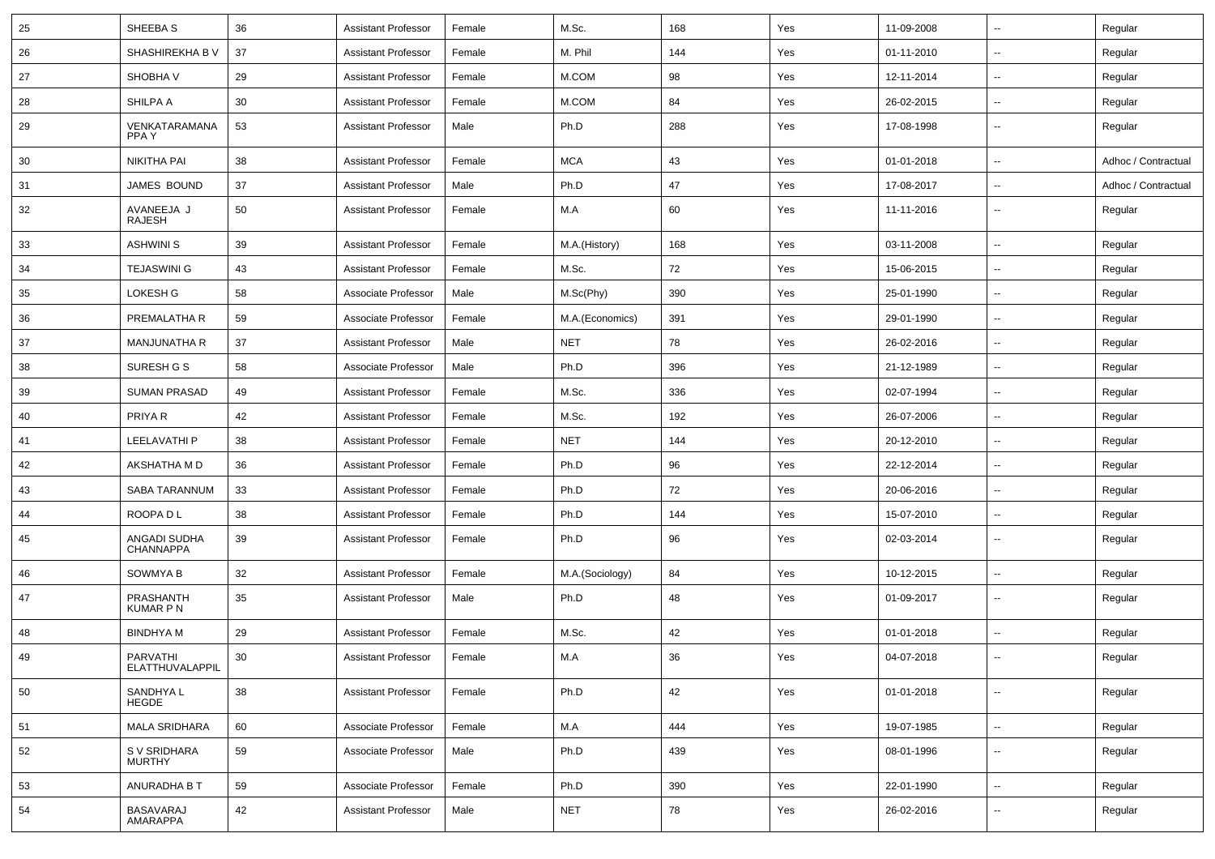| 25 | SHEEBA S                         | 36 | <b>Assistant Professor</b> | Female | M.Sc.           | 168 | Yes | 11-09-2008 | --                       | Regular             |
|----|----------------------------------|----|----------------------------|--------|-----------------|-----|-----|------------|--------------------------|---------------------|
| 26 | SHASHIREKHA B V                  | 37 | <b>Assistant Professor</b> | Female | M. Phil         | 144 | Yes | 01-11-2010 | $\overline{\phantom{a}}$ | Regular             |
| 27 | SHOBHA V                         | 29 | <b>Assistant Professor</b> | Female | M.COM           | 98  | Yes | 12-11-2014 | ۰.                       | Regular             |
| 28 | SHILPA A                         | 30 | <b>Assistant Professor</b> | Female | M.COM           | 84  | Yes | 26-02-2015 | --                       | Regular             |
| 29 | VENKATARAMANA<br>PPA Y           | 53 | <b>Assistant Professor</b> | Male   | Ph.D            | 288 | Yes | 17-08-1998 | ۰.                       | Regular             |
| 30 | NIKITHA PAI                      | 38 | <b>Assistant Professor</b> | Female | <b>MCA</b>      | 43  | Yes | 01-01-2018 | --                       | Adhoc / Contractual |
| 31 | JAMES BOUND                      | 37 | <b>Assistant Professor</b> | Male   | Ph.D            | 47  | Yes | 17-08-2017 | $\overline{\phantom{a}}$ | Adhoc / Contractual |
| 32 | AVANEEJA J<br>RAJESH             | 50 | <b>Assistant Professor</b> | Female | M.A             | 60  | Yes | 11-11-2016 | ۰.                       | Regular             |
| 33 | <b>ASHWINI S</b>                 | 39 | <b>Assistant Professor</b> | Female | M.A.(History)   | 168 | Yes | 03-11-2008 | --                       | Regular             |
| 34 | <b>TEJASWINI G</b>               | 43 | <b>Assistant Professor</b> | Female | M.Sc.           | 72  | Yes | 15-06-2015 | --                       | Regular             |
| 35 | LOKESH G                         | 58 | Associate Professor        | Male   | M.Sc(Phy)       | 390 | Yes | 25-01-1990 | $\overline{\phantom{a}}$ | Regular             |
| 36 | PREMALATHA R                     | 59 | Associate Professor        | Female | M.A.(Economics) | 391 | Yes | 29-01-1990 | --                       | Regular             |
| 37 | <b>MANJUNATHA R</b>              | 37 | <b>Assistant Professor</b> | Male   | <b>NET</b>      | 78  | Yes | 26-02-2016 | --                       | Regular             |
| 38 | SURESH G S                       | 58 | Associate Professor        | Male   | Ph.D            | 396 | Yes | 21-12-1989 | $\overline{\phantom{a}}$ | Regular             |
| 39 | <b>SUMAN PRASAD</b>              | 49 | <b>Assistant Professor</b> | Female | M.Sc.           | 336 | Yes | 02-07-1994 | --                       | Regular             |
| 40 | PRIYA R                          | 42 | <b>Assistant Professor</b> | Female | M.Sc.           | 192 | Yes | 26-07-2006 | --                       | Regular             |
| 41 | LEELAVATHI P                     | 38 | <b>Assistant Professor</b> | Female | <b>NET</b>      | 144 | Yes | 20-12-2010 | $\overline{\phantom{a}}$ | Regular             |
| 42 | AKSHATHA M D                     | 36 | <b>Assistant Professor</b> | Female | Ph.D            | 96  | Yes | 22-12-2014 | --                       | Regular             |
| 43 | SABA TARANNUM                    | 33 | <b>Assistant Professor</b> | Female | Ph.D            | 72  | Yes | 20-06-2016 | $\overline{\phantom{a}}$ | Regular             |
| 44 | ROOPA D L                        | 38 | <b>Assistant Professor</b> | Female | Ph.D            | 144 | Yes | 15-07-2010 | $\sim$                   | Regular             |
| 45 | ANGADI SUDHA<br><b>CHANNAPPA</b> | 39 | <b>Assistant Professor</b> | Female | Ph.D            | 96  | Yes | 02-03-2014 | ۰.                       | Regular             |
| 46 | <b>SOWMYA B</b>                  | 32 | <b>Assistant Professor</b> | Female | M.A.(Sociology) | 84  | Yes | 10-12-2015 | --                       | Regular             |
| 47 | PRASHANTH<br><b>KUMAR P N</b>    | 35 | <b>Assistant Professor</b> | Male   | Ph.D            | 48  | Yes | 01-09-2017 | ۰.                       | Regular             |
| 48 | <b>BINDHYA M</b>                 | 29 | <b>Assistant Professor</b> | Female | M.Sc.           | 42  | Yes | 01-01-2018 | --                       | Regular             |
| 49 | PARVATHI<br>ELATTHUVALAPPIL      | 30 | <b>Assistant Professor</b> | Female | M.A             | 36  | Yes | 04-07-2018 | $\sim$                   | Regular             |
| 50 | SANDHYA L<br><b>HEGDE</b>        | 38 | <b>Assistant Professor</b> | Female | Ph.D            | 42  | Yes | 01-01-2018 | u.                       | Regular             |
| 51 | <b>MALA SRIDHARA</b>             | 60 | Associate Professor        | Female | M.A             | 444 | Yes | 19-07-1985 | ÷.                       | Regular             |
| 52 | S V SRIDHARA<br><b>MURTHY</b>    | 59 | Associate Professor        | Male   | Ph.D            | 439 | Yes | 08-01-1996 | --                       | Regular             |
| 53 | ANURADHA B T                     | 59 | Associate Professor        | Female | Ph.D            | 390 | Yes | 22-01-1990 | --                       | Regular             |
| 54 | <b>BASAVARAJ</b><br>AMARAPPA     | 42 | <b>Assistant Professor</b> | Male   | <b>NET</b>      | 78  | Yes | 26-02-2016 | --                       | Regular             |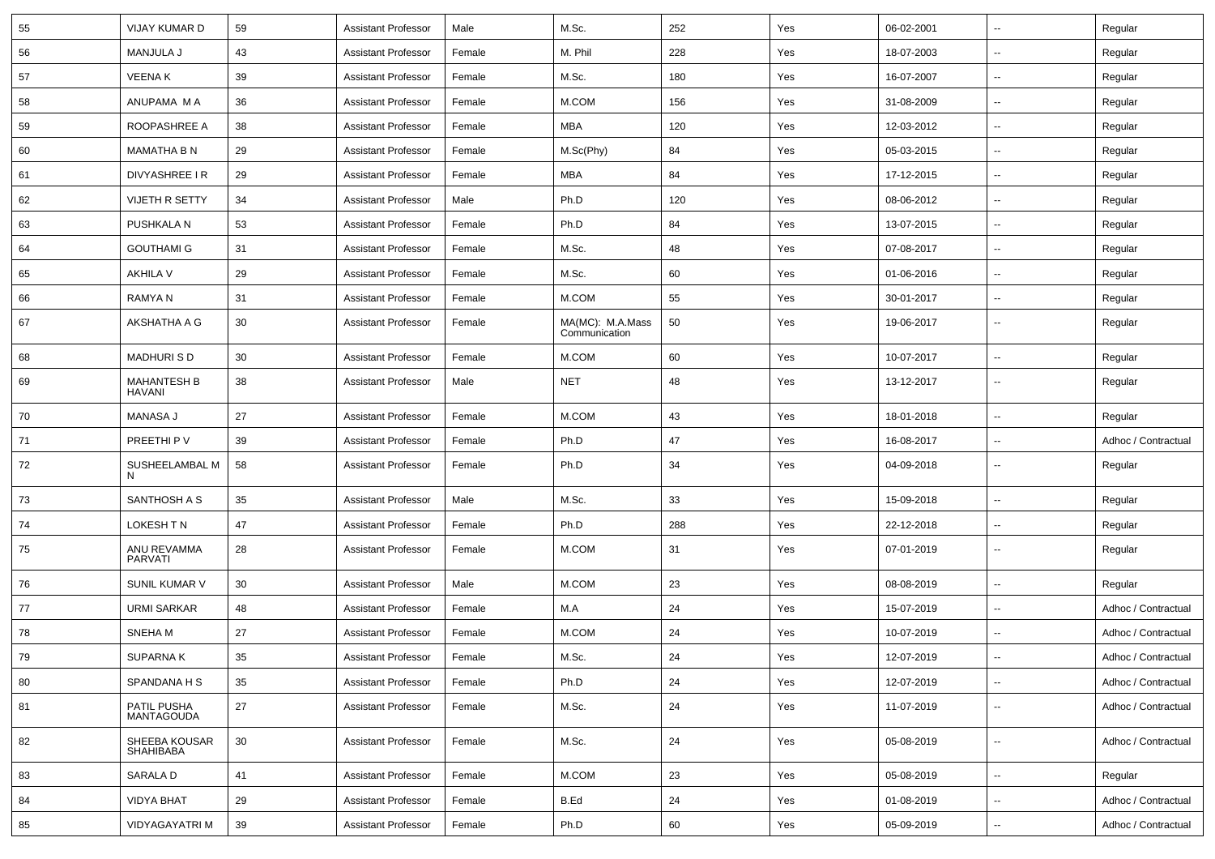| 55 | VIJAY KUMAR D                    | 59 | <b>Assistant Professor</b> | Male   | M.Sc.                             | 252 | Yes | 06-02-2001 | $\mathbf{u}$             | Regular             |
|----|----------------------------------|----|----------------------------|--------|-----------------------------------|-----|-----|------------|--------------------------|---------------------|
| 56 | MANJULA J                        | 43 | <b>Assistant Professor</b> | Female | M. Phil                           | 228 | Yes | 18-07-2003 | $\sim$                   | Regular             |
| 57 | <b>VEENAK</b>                    | 39 | <b>Assistant Professor</b> | Female | M.Sc.                             | 180 | Yes | 16-07-2007 | --                       | Regular             |
| 58 | ANUPAMA M A                      | 36 | <b>Assistant Professor</b> | Female | M.COM                             | 156 | Yes | 31-08-2009 | Ξ.                       | Regular             |
| 59 | ROOPASHREE A                     | 38 | <b>Assistant Professor</b> | Female | MBA                               | 120 | Yes | 12-03-2012 | $\overline{\phantom{a}}$ | Regular             |
| 60 | <b>MAMATHA B N</b>               | 29 | <b>Assistant Professor</b> | Female | M.Sc(Phy)                         | 84  | Yes | 05-03-2015 | $\overline{a}$           | Regular             |
| 61 | DIVYASHREE I R                   | 29 | <b>Assistant Professor</b> | Female | MBA                               | 84  | Yes | 17-12-2015 | $\sim$                   | Regular             |
| 62 | <b>VIJETH R SETTY</b>            | 34 | <b>Assistant Professor</b> | Male   | Ph.D                              | 120 | Yes | 08-06-2012 | $\sim$                   | Regular             |
| 63 | PUSHKALA N                       | 53 | <b>Assistant Professor</b> | Female | Ph.D                              | 84  | Yes | 13-07-2015 | Ξ.                       | Regular             |
| 64 | <b>GOUTHAMI G</b>                | 31 | <b>Assistant Professor</b> | Female | M.Sc.                             | 48  | Yes | 07-08-2017 | Ξ.                       | Regular             |
| 65 | AKHILA V                         | 29 | <b>Assistant Professor</b> | Female | M.Sc.                             | 60  | Yes | 01-06-2016 | $\overline{a}$           | Regular             |
| 66 | RAMYA N                          | 31 | <b>Assistant Professor</b> | Female | M.COM                             | 55  | Yes | 30-01-2017 | $\overline{a}$           | Regular             |
| 67 | AKSHATHA A G                     | 30 | <b>Assistant Professor</b> | Female | MA(MC): M.A.Mass<br>Communication | 50  | Yes | 19-06-2017 | ш.                       | Regular             |
| 68 | <b>MADHURISD</b>                 | 30 | <b>Assistant Professor</b> | Female | M.COM                             | 60  | Yes | 10-07-2017 | $\sim$                   | Regular             |
| 69 | MAHANTESH B<br>HAVANI            | 38 | <b>Assistant Professor</b> | Male   | <b>NET</b>                        | 48  | Yes | 13-12-2017 | $\overline{\phantom{a}}$ | Regular             |
| 70 | <b>MANASA J</b>                  | 27 | <b>Assistant Professor</b> | Female | M.COM                             | 43  | Yes | 18-01-2018 | $\sim$                   | Regular             |
| 71 | PREETHI P V                      | 39 | <b>Assistant Professor</b> | Female | Ph.D                              | 47  | Yes | 16-08-2017 | --                       | Adhoc / Contractual |
| 72 | SUSHEELAMBAL M<br>N              | 58 | <b>Assistant Professor</b> | Female | Ph.D                              | 34  | Yes | 04-09-2018 | $\sim$                   | Regular             |
| 73 | SANTHOSH A S                     | 35 | <b>Assistant Professor</b> | Male   | M.Sc.                             | 33  | Yes | 15-09-2018 | Ξ.                       | Regular             |
| 74 | LOKESH TN                        | 47 | <b>Assistant Professor</b> | Female | Ph.D                              | 288 | Yes | 22-12-2018 | $\overline{a}$           | Regular             |
| 75 | ANU REVAMMA<br>PARVATI           | 28 | <b>Assistant Professor</b> | Female | M.COM                             | 31  | Yes | 07-01-2019 | Ξ.                       | Regular             |
| 76 | SUNIL KUMAR V                    | 30 | <b>Assistant Professor</b> | Male   | M.COM                             | 23  | Yes | 08-08-2019 | $\overline{\phantom{a}}$ | Regular             |
| 77 | <b>URMI SARKAR</b>               | 48 | <b>Assistant Professor</b> | Female | M.A                               | 24  | Yes | 15-07-2019 | $\sim$                   | Adhoc / Contractual |
| 78 | SNEHA M                          | 27 | <b>Assistant Professor</b> | Female | M.COM                             | 24  | Yes | 10-07-2019 | $\overline{a}$           | Adhoc / Contractual |
| 79 | SUPARNA K                        | 35 | Assistant Professor        | Female | M.Sc.                             | 24  | Yes | 12-07-2019 | $\sim$                   | Adhoc / Contractual |
| 80 | SPANDANA H S                     | 35 | <b>Assistant Professor</b> | Female | Ph.D                              | 24  | Yes | 12-07-2019 | ш.                       | Adhoc / Contractual |
| 81 | PATIL PUSHA<br><b>MANTAGOUDA</b> | 27 | <b>Assistant Professor</b> | Female | M.Sc.                             | 24  | Yes | 11-07-2019 | ۰.                       | Adhoc / Contractual |
| 82 | SHEEBA KOUSAR<br>SHAHIBABA       | 30 | <b>Assistant Professor</b> | Female | M.Sc.                             | 24  | Yes | 05-08-2019 | $\overline{a}$           | Adhoc / Contractual |
| 83 | SARALA D                         | 41 | <b>Assistant Professor</b> | Female | M.COM                             | 23  | Yes | 05-08-2019 | $\sim$                   | Regular             |
| 84 | <b>VIDYA BHAT</b>                | 29 | <b>Assistant Professor</b> | Female | B.Ed                              | 24  | Yes | 01-08-2019 | Ξ.                       | Adhoc / Contractual |
| 85 | <b>VIDYAGAYATRI M</b>            | 39 | <b>Assistant Professor</b> | Female | Ph.D                              | 60  | Yes | 05-09-2019 | $\sim$                   | Adhoc / Contractual |